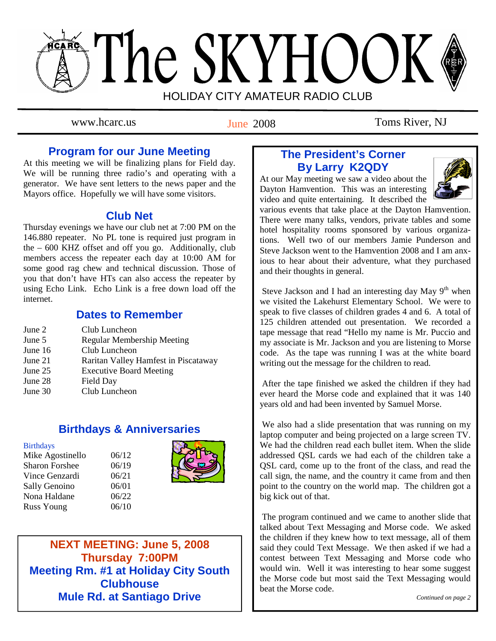# The SKYHOOK HOLIDAY CITY AMATEUR RADIO CLUB

June 2008

www.hcarc.us T<sub>une</sub> 2008 Toms River, NJ

## **Program for our June Meeting**

At this meeting we will be finalizing plans for Field day. We will be running three radio's and operating with a generator. We have sent letters to the news paper and the Mayors office. Hopefully we will have some visitors.

## **Club Net**

Thursday evenings we have our club net at 7:00 PM on the 146.880 repeater. No PL tone is required just program in the – 600 KHZ offset and off you go. Additionally, club members access the repeater each day at 10:00 AM for some good rag chew and technical discussion. Those of you that don't have HTs can also access the repeater by using Echo Link. Echo Link is a free down load off the internet.

## **Dates to Remember**

| June 2  | Club Luncheon                        |
|---------|--------------------------------------|
| June 5  | <b>Regular Membership Meeting</b>    |
| June 16 | Club Luncheon                        |
| June 21 | Raritan Valley Hamfest in Piscataway |
| June 25 | <b>Executive Board Meeting</b>       |
| June 28 | Field Day                            |
| June 30 | Club Luncheon                        |

## **Birthdays & Anniversaries**

**Birthdays** 

Mike Agostinello 06/12 Sharon Forshee  $06/19$ Vince Genzardi 06/21 Sally Genoino 06/01 Nona Haldane 06/22 Russ Young 06/10



**NEXT MEETING: June 5, 2008 Thursday 7:00PM Meeting Rm. #1 at Holiday City South Clubhouse Mule Rd. at Santiago Drive** 

# **The President's Corner By Larry K2QDY**

At our May meeting we saw a video about the Dayton Hamvention. This was an interesting video and quite entertaining. It described the



various events that take place at the Dayton Hamvention. There were many talks, vendors, private tables and some hotel hospitality rooms sponsored by various organizations. Well two of our members Jamie Punderson and Steve Jackson went to the Hamvention 2008 and I am anxious to hear about their adventure, what they purchased and their thoughts in general.

Steve Jackson and I had an interesting day May  $9<sup>th</sup>$  when we visited the Lakehurst Elementary School. We were to speak to five classes of children grades 4 and 6. A total of 125 children attended out presentation. We recorded a tape message that read "Hello my name is Mr. Puccio and my associate is Mr. Jackson and you are listening to Morse code. As the tape was running I was at the white board writing out the message for the children to read.

 After the tape finished we asked the children if they had ever heard the Morse code and explained that it was 140 years old and had been invented by Samuel Morse.

 We also had a slide presentation that was running on my laptop computer and being projected on a large screen TV. We had the children read each bullet item. When the slide addressed QSL cards we had each of the children take a QSL card, come up to the front of the class, and read the call sign, the name, and the country it came from and then point to the country on the world map. The children got a big kick out of that.

 The program continued and we came to another slide that talked about Text Messaging and Morse code. We asked the children if they knew how to text message, all of them said they could Text Message. We then asked if we had a contest between Text Messaging and Morse code who would win. Well it was interesting to hear some suggest the Morse code but most said the Text Messaging would beat the Morse code.

*Continued on page 2*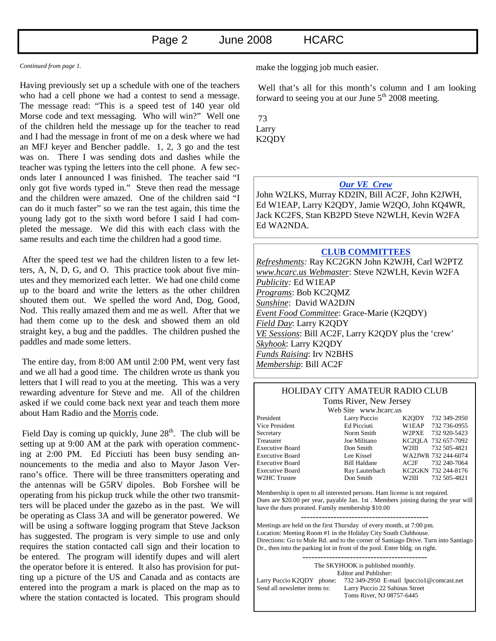#### *Continued from page 1.*

Having previously set up a schedule with one of the teachers who had a cell phone we had a contest to send a message. The message read: "This is a speed test of 140 year old Morse code and text messaging. Who will win?" Well one of the children held the message up for the teacher to read and I had the message in front of me on a desk where we had an MFJ keyer and Bencher paddle. 1, 2, 3 go and the test was on. There I was sending dots and dashes while the teacher was typing the letters into the cell phone. A few seconds later I announced I was finished. The teacher said "I only got five words typed in." Steve then read the message and the children were amazed. One of the children said "I can do it much faster" so we ran the test again, this time the young lady got to the sixth word before I said I had completed the message. We did this with each class with the same results and each time the children had a good time.

 After the speed test we had the children listen to a few letters, A, N, D, G, and O. This practice took about five minutes and they memorized each letter. We had one child come up to the board and write the letters as the other children shouted them out. We spelled the word And, Dog, Good, Nod. This really amazed them and me as well. After that we had them come up to the desk and showed them an old straight key, a bug and the paddles. The children pushed the paddles and made some letters.

 The entire day, from 8:00 AM until 2:00 PM, went very fast and we all had a good time. The children wrote us thank you letters that I will read to you at the meeting. This was a very rewarding adventure for Steve and me. All of the children asked if we could come back next year and teach them more about Ham Radio and the Morris code.

Field Day is coming up quickly, June  $28<sup>th</sup>$ . The club will be setting up at 9:00 AM at the park with operation commencing at 2:00 PM. Ed Picciuti has been busy sending announcements to the media and also to Mayor Jason Verrano's office. There will be three transmitters operating and the antennas will be G5RV dipoles. Bob Forshee will be operating from his pickup truck while the other two transmitters will be placed under the gazebo as in the past. We will be operating as Class 3A and will be generator powered. We will be using a software logging program that Steve Jackson has suggested. The program is very simple to use and only requires the station contacted call sign and their location to be entered. The program will identify dupes and will alert the operator before it is entered. It also has provision for putting up a picture of the US and Canada and as contacts are entered into the program a mark is placed on the map as to where the station contacted is located. This program should make the logging job much easier.

 Well that's all for this month's column and I am looking forward to seeing you at our June  $5<sup>th</sup>$  2008 meeting.

 73 Larry K2QDY

#### *Our VE Crew*

John W2LKS, Murray KD2IN, Bill AC2F, John K2JWH, Ed W1EAP, Larry K2QDY, Jamie W2QO, John KQ4WR, Jack KC2FS, Stan KB2PD Steve N2WLH, Kevin W2FA Ed WA2NDA.

#### **CLUB COMMITTEES**

*Refreshments:* Ray KC2GKN John K2WJH, Carl W2PTZ *www.hcarc.us Webmaster*: Steve N2WLH, Kevin W2FA *Publicity:* Ed W1EAP *Programs*: Bob KC2QMZ *Sunshine*: David WA2DJN *Event Food Committee*: Grace-Marie (K2QDY) *Field Day*: Larry K2QDY *VE Sessions*: Bill AC2F, Larry K2QDY plus the 'crew' *Skyhook*: Larry K2QDY *Funds Raising*: Irv N2BHS *Membership*: Bill AC2F

#### HOLIDAY CITY AMATEUR RADIO CLUB Toms River, New Jersey

Web Site www.hcarc.us

President Larry Puccio K2QDY 732 349-2950 Vice President Ed Picciuti W1EAP 732 736-0955 Secretary Norm Smith W2PXE 732 920-5423 Treasurer Joe Militano KC2QLA 732 657-7092 Executive Board Don Smith W2III 732 505-4821 Executive Board Lee Kissel WA2JWR 732 244-6074 Executive Board Bill Haldane AC2F 732 240-7064 Executive Board Ray Lauterbach KC2GKN 732 244-8176 W2HC Trustee Don Smith W2III 732 505-4821

Membership is open to all interested persons. Ham license is not required. Dues are \$20.00 per year, payable Jan. 1st . Members joining during the year will have the dues prorated. Family membership \$10.00

Meetings are held on the first Thursday of every month, at 7:00 pm. Location: Meeting Room #1 in the Holiday City South Clubhouse. Directions: Go to Mule Rd. and to the corner of Santiago Drive. Turn into Santiago Dr., then into the parking lot in front of the pool. Enter bldg. on right.

------------------------------------------ The SKYHOOK is published monthly. Editor and Publisher: Larry Puccio K2QDY phone: 732 349-2950 E-mail lpuccio1@comcast.net<br>Send all newsletter items to: Larry Puccio 22 Sabinas Street Larry Puccio 22 Sabinas Street Toms River, NJ 08757-6445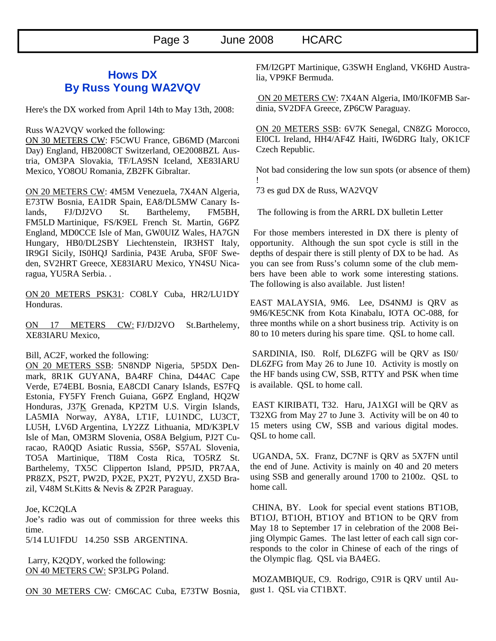## **Hows DX By Russ Young WA2VQV**

Here's the DX worked from April 14th to May 13th, 2008:

Russ WA2VQV worked the following:

ON 30 METERS CW: F5CWU France, GB6MD (Marconi Day) England, HB2008CT Switzerland, OE2008BZL Austria, OM3PA Slovakia, TF/LA9SN Iceland, XE83IARU Mexico, YO8OU Romania, ZB2FK Gibraltar.

ON 20 METERS CW: 4M5M Venezuela, 7X4AN Algeria, E73TW Bosnia, EA1DR Spain, EA8/DL5MW Canary Islands, FJ/DJ2VO St. Barthelemy, FM5BH, FM5LD Martinique, FS/K9EL French St. Martin, G6PZ England, MD0CCE Isle of Man, GW0UIZ Wales, HA7GN Hungary, HB0/DL2SBY Liechtenstein, IR3HST Italy, IR9GI Sicily, IS0HQJ Sardinia, P43E Aruba, SF0F Sweden, SV2HRT Greece, XE83IARU Mexico, YN4SU Nicaragua, YU5RA Serbia. .

ON 20 METERS PSK31: CO8LY Cuba, HR2/LU1DY Honduras.

ON 17 METERS CW: FJ/DJ2VO St.Barthelemy, XE83IARU Mexico,

Bill, AC2F, worked the following:

ON 20 METERS SSB: 5N8NDP Nigeria, 5P5DX Denmark, 8R1K GUYANA, BA4RF China, D44AC Cape Verde, E74EBL Bosnia, EA8CDI Canary Islands, ES7FQ Estonia, FY5FY French Guiana, G6PZ England, HQ2W Honduras, J37K Grenada, KP2TM U.S. Virgin Islands, LA5MIA Norway, AY8A, LT1F, LU1NDC, LU3CT, LU5H, LV6D Argentina, LY2ZZ Lithuania, MD/K3PLV Isle of Man, OM3RM Slovenia, OS8A Belgium, PJ2T Curacao, RA0QD Asiatic Russia, S56P, S57AL Slovenia, TO5A Martinique, TI8M Costa Rica, TO5RZ St. Barthelemy, TX5C Clipperton Island, PP5JD, PR7AA, PR8ZX, PS2T, PW2D, PX2E, PX2T, PY2YU, ZX5D Brazil, V48M St.Kitts & Nevis & ZP2R Paraguay.

#### Joe, KC2QLA

Joe's radio was out of commission for three weeks this time.

5/14 LU1FDU 14.250 SSB ARGENTINA.

 Larry, K2QDY, worked the following: ON 40 METERS CW: SP3LPG Poland.

ON 30 METERS CW: CM6CAC Cuba, E73TW Bosnia,

FM/I2GPT Martinique, G3SWH England, VK6HD Australia, VP9KF Bermuda.

 ON 20 METERS CW: 7X4AN Algeria, IM0/IK0FMB Sardinia, SV2DFA Greece, ZP6CW Paraguay.

ON 20 METERS SSB: 6V7K Senegal, CN8ZG Morocco, EI0CL Ireland, HH4/AF4Z Haiti, IW6DRG Italy, OK1CF Czech Republic.

Not bad considering the low sun spots (or absence of them) !

73 es gud DX de Russ, WA2VQV

The following is from the ARRL DX bulletin Letter

For those members interested in DX there is plenty of opportunity. Although the sun spot cycle is still in the depths of despair there is still plenty of DX to be had. As you can see from Russ's column some of the club members have been able to work some interesting stations. The following is also available. Just listen!

EAST MALAYSIA, 9M6. Lee, DS4NMJ is QRV as 9M6/KE5CNK from Kota Kinabalu, IOTA OC-088, for three months while on a short business trip. Activity is on 80 to 10 meters during his spare time. QSL to home call.

 SARDINIA, IS0. Rolf, DL6ZFG will be QRV as IS0/ DL6ZFG from May 26 to June 10. Activity is mostly on the HF bands using CW, SSB, RTTY and PSK when time is available. QSL to home call.

 EAST KIRIBATI, T32. Haru, JA1XGI will be QRV as T32XG from May 27 to June 3. Activity will be on 40 to 15 meters using CW, SSB and various digital modes. OSL to home call.

 UGANDA, 5X. Franz, DC7NF is QRV as 5X7FN until the end of June. Activity is mainly on 40 and 20 meters using SSB and generally around 1700 to 2100z. QSL to home call.

 CHINA, BY. Look for special event stations BT1OB, BT1OJ, BT1OH, BT1OY and BT1ON to be QRV from May 18 to September 17 in celebration of the 2008 Beijing Olympic Games. The last letter of each call sign corresponds to the color in Chinese of each of the rings of the Olympic flag. QSL via BA4EG.

 MOZAMBIQUE, C9. Rodrigo, C91R is QRV until August 1. QSL via CT1BXT.